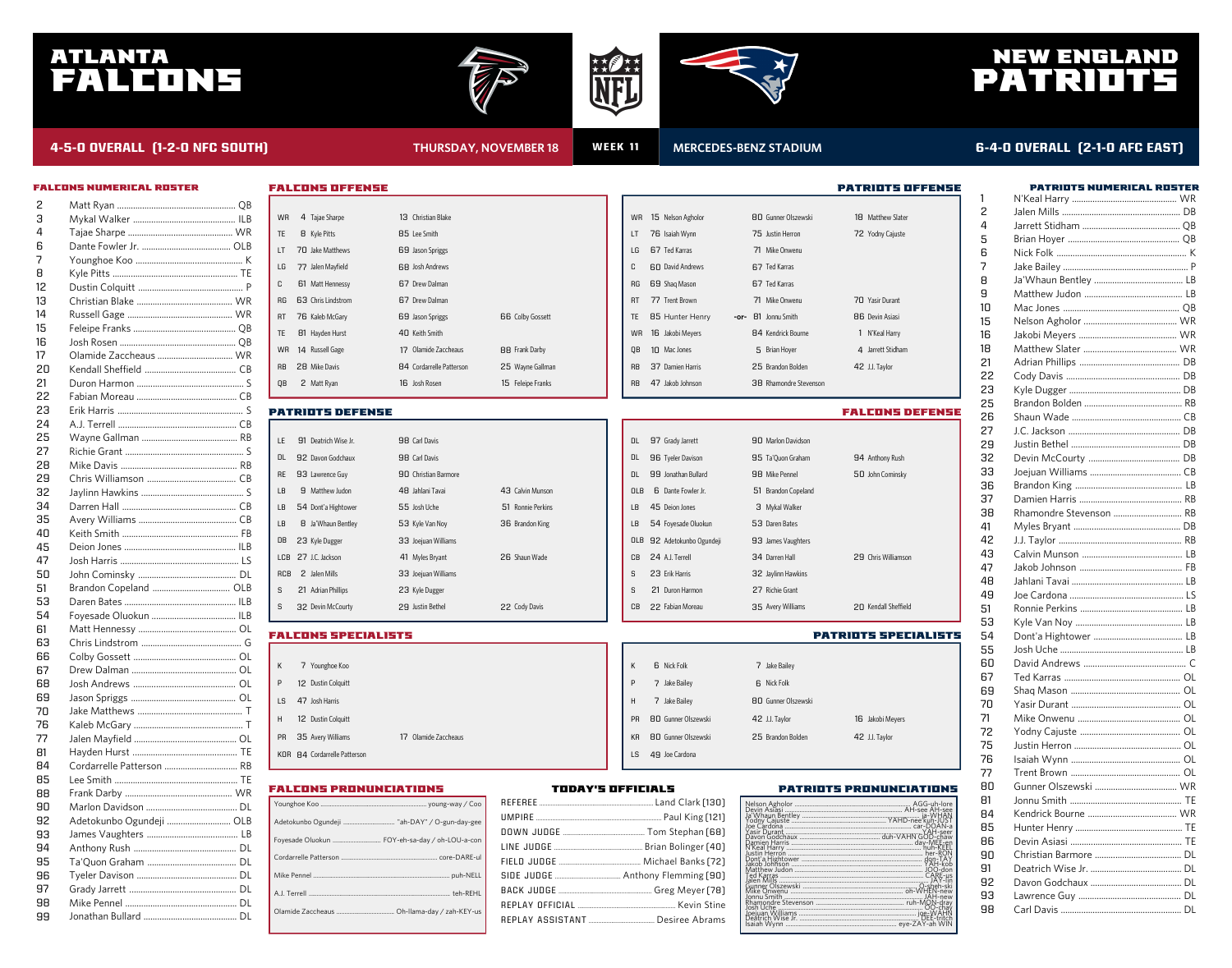# ATLANTA FALCONS





# NEW ENGLAND PATRIOTS

### **4-5-0 OVERALL (1-2-0 NFC SOUTH) THURSDAY, NOVEMBER 18 WEEK 11**

### **MERCEDES-BENZ STADIUM 6-4-0 OVERALL (2-1-0 AFC EAST)**

| FALCONS NUMERICAL ROSTER |  |
|--------------------------|--|

| 2  |                           |
|----|---------------------------|
| З  |                           |
| 4  |                           |
| 6  |                           |
| 7  |                           |
| 8  |                           |
| 12 |                           |
| 13 |                           |
| 14 |                           |
| 15 |                           |
| 16 |                           |
| 17 |                           |
| 20 |                           |
| 21 |                           |
| 22 |                           |
| 23 |                           |
| 24 |                           |
| 25 |                           |
| 27 |                           |
| 28 |                           |
| 29 |                           |
| 32 |                           |
| 34 |                           |
| 35 |                           |
| 40 |                           |
| 45 |                           |
| 47 |                           |
| 50 |                           |
| 51 | Brandon Copeland  OLB     |
| 53 |                           |
| 54 |                           |
| 61 |                           |
| 63 |                           |
| 66 |                           |
| 67 |                           |
| 68 |                           |
| 69 |                           |
| 70 |                           |
| 76 |                           |
| 77 |                           |
| 81 |                           |
| 84 | Cordarrelle Patterson  RB |
| 85 |                           |
|    |                           |
| 88 |                           |
| 90 |                           |
| 92 | Adetokunbo Ogundeji  OLB  |
| 93 |                           |
| 94 |                           |
| 95 |                           |
| 96 |                           |
| 97 |                           |
| 98 |                           |
| 99 |                           |

| 4 Tajae Sharpe<br><b>WR</b>                                                            | 13 Christian Blake              |                         | WR        | 15 Nelson Agholor          | <b>80 Gunner Olszewski</b> | 18 Matthew Slater           |
|----------------------------------------------------------------------------------------|---------------------------------|-------------------------|-----------|----------------------------|----------------------------|-----------------------------|
| <b>B</b> Kyle Pitts<br><b>TE</b>                                                       | 85 Lee Smith                    |                         | LT        | 76 Isaiah Wynn             | 75 Justin Herron           | 72 Yodny Cajuste            |
| 70 Jake Matthews<br>LT                                                                 | 69 Jason Spriggs                |                         | LG        | 67 Ted Karras              | 71 Mike Onwenu             |                             |
| LG<br>77 Jalen Mayfield                                                                | 68 Josh Andrews                 |                         | C         | <b>60 David Andrews</b>    | 67 Ted Karras              |                             |
| C<br>61 Matt Hennessy                                                                  | 67 Drew Dalman                  |                         | <b>RG</b> | 69 Shaq Mason              | 67 Ted Karras              |                             |
| 63 Chris Lindstrom<br>RG                                                               | 67 Drew Dalman                  |                         | RT        | 77 Trent Brown             | 71 Mike Onwenu             | 70 Yasir Durant             |
| 76 Kaleb McGary<br><b>RT</b>                                                           | 69 Jason Spriggs                | <b>66 Colby Gossett</b> | TE        | 85 Hunter Henry            | -or- 81 Jonnu Smith        | <b>86 Devin Asiasi</b>      |
| TE<br>81 Hayden Hurst                                                                  | 40 Keith Smith                  |                         | <b>WR</b> | 16 Jakobi Meyers           | <b>84 Kendrick Bourne</b>  | 1 N'Keal Harry              |
| <b>WR</b><br>14 Russell Gage                                                           | 17 Olamide Zaccheaus            | <b>88 Frank Darby</b>   | QB        | 10 Mac Jones               | 5 Brian Hoyer              | 4 Jarrett Stidham           |
| 28 Mike Davis<br>RB                                                                    | <b>84 Cordarrelle Patterson</b> | 25 Wayne Gallman        | <b>RB</b> | 37 Damien Harris           | 25 Brandon Bolden          | 42 J.J. Taylor              |
| 2 Matt Ryan<br>QB                                                                      | 16 Josh Rosen                   | 15 Feleipe Franks       | <b>RB</b> | 47 Jakob Johnson           | 38 Rhamondre Stevenson     |                             |
|                                                                                        |                                 |                         |           |                            |                            |                             |
| <b>PATRIOTS DEFENSE</b>                                                                |                                 |                         |           |                            |                            | <b>FALCONS DEFENSE</b>      |
| LE<br>91 Deatrich Wise Jr.                                                             | 98 Carl Davis                   |                         | DL        | 97 Grady Jarrett           | 90 Marlon Davidson         |                             |
| 92 Davon Godchaux<br>DL                                                                | 98 Carl Davis                   |                         | DL        | 96 Tyeler Davison          | 95 Ta'Quon Graham          | 94 Anthony Rush             |
| 93 Lawrence Guy<br>RE                                                                  | 90 Christian Barmore            |                         | DL.       | 99 Jonathan Bullard        | 98 Mike Pennel             | 50 John Cominsky            |
| 9 Matthew Judon<br>LB                                                                  | 48 Jahlani Tavai                | 43 Calvin Munson        | OLB       | 6 Dante Fowler Jr.         | 51 Brandon Copeland        |                             |
| 54 Dont'a Hightower<br>LB                                                              | 55 Josh Uche                    | 51 Ronnie Perkins       | <b>LB</b> | 45 Deion Jones             | 3 Mykal Walker             |                             |
| <b>8</b> Ja'Whaun Bentley                                                              | 53 Kyle Van Noy                 | 36 Brandon King         | <b>LB</b> | 54 Foyesade Oluokun        | 53 Daren Bates             |                             |
| 23 Kyle Dugger<br>DB                                                                   | 33 Joejuan Williams             |                         | OLB       | 92 Adetokunbo Ogundeji     | 93 James Vaughters         |                             |
| LCB 27 J.C. Jackson                                                                    | 41 Myles Bryant                 | 26 Shaun Wade           | CВ        | 24 A.J. Terrell            | 34 Darren Hall             | 29 Chris Williamson         |
| 2 Jalen Mills<br>RCB                                                                   | 33 Joejuan Williams             |                         | S         | 23 Erik Harris             | 32 Jaylinn Hawkins         |                             |
| 21 Adrian Phillips<br>S                                                                | 23 Kyle Dugger                  |                         | S         | 21 Duron Harmon            | 27 Richie Grant            |                             |
|                                                                                        |                                 |                         |           |                            |                            |                             |
| 32 Devin McCourty                                                                      | 29 Justin Bethel                | 22 Cody Davis           | CВ        | 22 Fabian Moreau           | 35 Avery Williams          | 20 Kendall Sheffield        |
|                                                                                        |                                 |                         |           |                            |                            | <b>PATRIOTS SPECIALISTS</b> |
|                                                                                        |                                 |                         |           |                            |                            |                             |
| 7 Younghoe Koo                                                                         |                                 |                         | Κ         | <b>6</b> Nick Folk         | 7 Jake Bailey              |                             |
| 12 Dustin Colquitt                                                                     |                                 |                         | P         | 7 Jake Bailey              | <b>6</b> Nick Folk         |                             |
| 47 Josh Harris                                                                         |                                 |                         | H         | 7 Jake Bailey              | <b>80 Gunner Olszewski</b> |                             |
| 12 Dustin Colquitt                                                                     |                                 |                         | <b>PR</b> | 80 Gunner Olszewski        | 42 J.J. Taylor             | 16 Jakobi Meyers            |
| S<br><b>FALCONS SPECIALISTS</b><br>К<br>P<br><b>LS</b><br>H<br>35 Avery Williams<br>PR | 17 Olamide Zaccheaus            |                         | KR        | <b>80 Gunner Olszewski</b> | 25 Brandon Bolden          | 42 J.J. Taylor              |

### FALCONS PRONUNCIATIONS

FALCONS OFFENSE

| Adetokunbo Ogundeji  "ah-DAY" / O-gun-day-gee  |
|------------------------------------------------|
| Foyesade Oluokun  FOY-eh-sa-day / oh-LOU-a-con |
|                                                |
|                                                |
|                                                |
|                                                |
|                                                |

#### TODAY'S OFFICIALS

### PATRIOTS PRONUNCIATIONS

PATRIOTS OFFENSE

| N'Keal Harry ………………………………………………………………………… nuh-KEEL |  |
|----------------------------------------------------|--|
|                                                    |  |
|                                                    |  |

|    | <b>PATRIOTS NUMERICAL ROSTER</b> |
|----|----------------------------------|
| 1  |                                  |
| 2  |                                  |
| 4  |                                  |
| 5  |                                  |
| 6  |                                  |
| 7  |                                  |
| 8  |                                  |
| 9  |                                  |
| 10 |                                  |
| 15 |                                  |
|    |                                  |
| 16 |                                  |
| 18 |                                  |
| 21 |                                  |
| 22 |                                  |
| 23 |                                  |
| 25 |                                  |
| 26 |                                  |
| 27 |                                  |
| 29 |                                  |
| 32 |                                  |
| 33 |                                  |
| 36 |                                  |
| 37 |                                  |
| 38 | Rhamondre Stevenson  RB          |
| 41 |                                  |
| 42 |                                  |
| 43 |                                  |
| 47 |                                  |
| 48 |                                  |
| 49 |                                  |
| 51 |                                  |
| 53 |                                  |
| 54 |                                  |
| 55 |                                  |
| 60 |                                  |
| 67 |                                  |
| 69 |                                  |
|    |                                  |
| 70 |                                  |
| 71 |                                  |
| 72 |                                  |
| 75 |                                  |
| 76 |                                  |
| 77 |                                  |
| 80 |                                  |
| 81 |                                  |
| 84 |                                  |
| 85 |                                  |
| 86 |                                  |
| 90 |                                  |
| 91 |                                  |
| 92 |                                  |
| 93 |                                  |
| 98 |                                  |
|    |                                  |